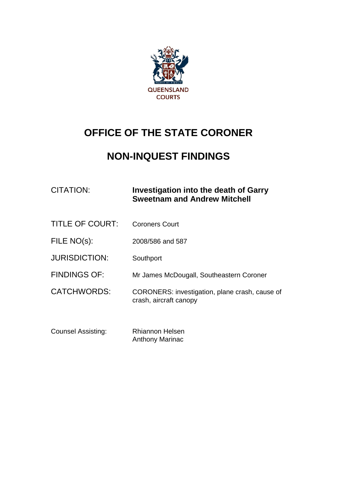

# **OFFICE OF THE STATE CORONER**

# **NON-INQUEST FINDINGS**

## CITATION: **Investigation into the death of Garry Sweetnam and Andrew Mitchell**

- TITLE OF COURT: Coroners Court
- FILE NO(s): 2008/586 and 587
- JURISDICTION: Southport
- FINDINGS OF: Mr James McDougall, Southeastern Coroner
- CATCHWORDS: CORONERS: investigation, plane crash, cause of crash, aircraft canopy
- Counsel Assisting: Rhiannon Helsen Anthony Marinac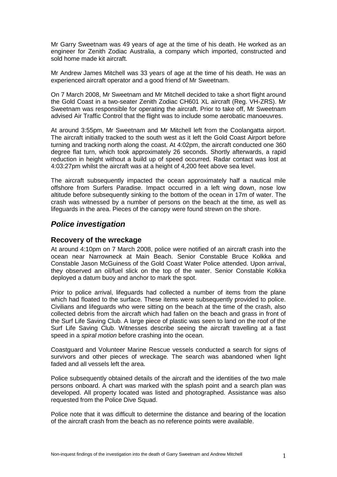Mr Garry Sweetnam was 49 years of age at the time of his death. He worked as an engineer for Zenith Zodiac Australia, a company which imported, constructed and sold home made kit aircraft.

Mr Andrew James Mitchell was 33 years of age at the time of his death. He was an experienced aircraft operator and a good friend of Mr Sweetnam.

On 7 March 2008, Mr Sweetnam and Mr Mitchell decided to take a short flight around the Gold Coast in a two-seater Zenith Zodiac CH601 XL aircraft (Reg. VH-ZRS). Mr Sweetnam was responsible for operating the aircraft. Prior to take off, Mr Sweetnam advised Air Traffic Control that the flight was to include some aerobatic manoeuvres.

At around 3:55pm, Mr Sweetnam and Mr Mitchell left from the Coolangatta airport. The aircraft initially tracked to the south west as it left the Gold Coast Airport before turning and tracking north along the coast. At 4:02pm, the aircraft conducted one 360 degree flat turn, which took approximately 26 seconds. Shortly afterwards, a rapid reduction in height without a build up of speed occurred. Radar contact was lost at 4:03:27pm whilst the aircraft was at a height of 4,200 feet above sea level.

The aircraft subsequently impacted the ocean approximately half a nautical mile offshore from Surfers Paradise. Impact occurred in a left wing down, nose low altitude before subsequently sinking to the bottom of the ocean in 17m of water. The crash was witnessed by a number of persons on the beach at the time, as well as lifeguards in the area. Pieces of the canopy were found strewn on the shore.

### *Police investigation*

#### **Recovery of the wreckage**

At around 4:10pm on 7 March 2008, police were notified of an aircraft crash into the ocean near Narrowneck at Main Beach. Senior Constable Bruce Kolkka and Constable Jason McGuiness of the Gold Coast Water Police attended. Upon arrival, they observed an oil/fuel slick on the top of the water. Senior Constable Kolkka deployed a datum buoy and anchor to mark the spot.

Prior to police arrival, lifeguards had collected a number of items from the plane which had floated to the surface. These items were subsequently provided to police. Civilians and lifeguards who were sitting on the beach at the time of the crash, also collected debris from the aircraft which had fallen on the beach and grass in front of the Surf Life Saving Club. A large piece of plastic was seen to land on the roof of the Surf Life Saving Club. Witnesses describe seeing the aircraft travelling at a fast speed in a *spiral motion* before crashing into the ocean.

Coastguard and Volunteer Marine Rescue vessels conducted a search for signs of survivors and other pieces of wreckage. The search was abandoned when light faded and all vessels left the area.

Police subsequently obtained details of the aircraft and the identities of the two male persons onboard. A chart was marked with the splash point and a search plan was developed. All property located was listed and photographed. Assistance was also requested from the Police Dive Squad.

Police note that it was difficult to determine the distance and bearing of the location of the aircraft crash from the beach as no reference points were available.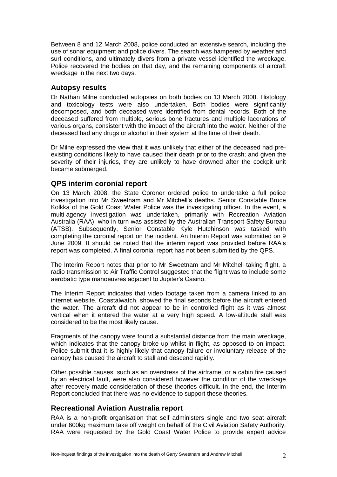Between 8 and 12 March 2008, police conducted an extensive search, including the use of sonar equipment and police divers. The search was hampered by weather and surf conditions, and ultimately divers from a private vessel identified the wreckage. Police recovered the bodies on that day, and the remaining components of aircraft wreckage in the next two days.

#### **Autopsy results**

Dr Nathan Milne conducted autopsies on both bodies on 13 March 2008. Histology and toxicology tests were also undertaken. Both bodies were significantly decomposed, and both deceased were identified from dental records. Both of the deceased suffered from multiple, serious bone fractures and multiple lacerations of various organs, consistent with the impact of the aircraft into the water. Neither of the deceased had any drugs or alcohol in their system at the time of their death.

Dr Milne expressed the view that it was unlikely that either of the deceased had preexisting conditions likely to have caused their death prior to the crash; and given the severity of their injuries, they are unlikely to have drowned after the cockpit unit became submerged.

#### **QPS interim coronial report**

On 13 March 2008, the State Coroner ordered police to undertake a full police investigation into Mr Sweetnam and Mr Mitchell's deaths. Senior Constable Bruce Kolkka of the Gold Coast Water Police was the investigating officer. In the event, a multi-agency investigation was undertaken, primarily with Recreation Aviation Australia (RAA), who in turn was assisted by the Australian Transport Safety Bureau (ATSB). Subsequently, Senior Constable Kyle Hutchinson was tasked with completing the coronial report on the incident. An Interim Report was submitted on 9 June 2009. It should be noted that the interim report was provided before RAA's report was completed. A final coronial report has not been submitted by the QPS.

The Interim Report notes that prior to Mr Sweetnam and Mr Mitchell taking flight, a radio transmission to Air Traffic Control suggested that the flight was to include some aerobatic type manoeuvres adjacent to Jupiter's Casino.

The Interim Report indicates that video footage taken from a camera linked to an internet website, Coastalwatch, showed the final seconds before the aircraft entered the water. The aircraft did not appear to be in controlled flight as it was almost vertical when it entered the water at a very high speed. A low-altitude stall was considered to be the most likely cause.

Fragments of the canopy were found a substantial distance from the main wreckage, which indicates that the canopy broke up whilst in flight, as opposed to on impact. Police submit that it is highly likely that canopy failure or involuntary release of the canopy has caused the aircraft to stall and descend rapidly.

Other possible causes, such as an overstress of the airframe, or a cabin fire caused by an electrical fault, were also considered however the condition of the wreckage after recovery made consideration of these theories difficult. In the end, the Interim Report concluded that there was no evidence to support these theories.

#### **Recreational Aviation Australia report**

RAA is a non-profit organisation that self administers single and two seat aircraft under 600kg maximum take off weight on behalf of the Civil Aviation Safety Authority. RAA were requested by the Gold Coast Water Police to provide expert advice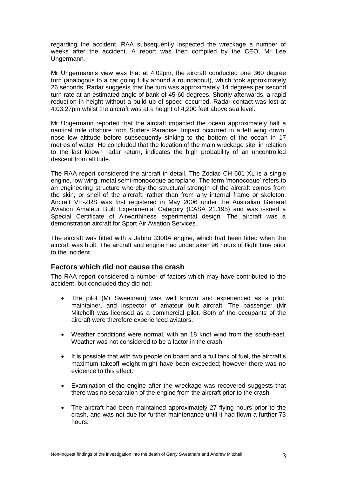regarding the accident. RAA subsequently inspected the wreckage a number of weeks after the accident. A report was then compiled by the CEO, Mr Lee Ungermann.

Mr Ungermann's view was that at 4:02pm, the aircraft conducted one 360 degree turn (analogous to a car going fully around a roundabout), which took approximately 26 seconds. Radar suggests that the turn was approximately 14 degrees per second turn rate at an estimated angle of bank of 45-60 degrees. Shortly afterwards, a rapid reduction in height without a build up of speed occurred. Radar contact was lost at 4:03:27pm whilst the aircraft was at a height of 4,200 feet above sea level.

Mr Ungermann reported that the aircraft impacted the ocean approximately half a nautical mile offshore from Surfers Paradise. Impact occurred in a left wing down, nose low altitude before subsequently sinking to the bottom of the ocean in 17 metres of water. He concluded that the location of the main wreckage site, in relation to the last known radar return, indicates the high probability of an uncontrolled descent from altitude.

The RAA report considered the aircraft in detail. The Zodiac CH 601 XL is a single engine, low wing, metal semi-monocoque aeroplane. The term 'monocoque' refers to an engineering structure whereby the structural strength of the aircraft comes from the skin, or shell of the aircraft, rather than from any internal frame or skeleton. Aircraft VH-ZRS was first registered in May 2006 under the Australian General Aviation Amateur Built Experimental Category (CASA 21.195) and was issued a Special Certificate of Airworthiness experimental design. The aircraft was a demonstration aircraft for Sport Air Aviation Services.

The aircraft was fitted with a Jabiru 3300A engine, which had been fitted when the aircraft was built. The aircraft and engine had undertaken 96 hours of flight time prior to the incident.

#### **Factors which did not cause the crash**

The RAA report considered a number of factors which may have contributed to the accident, but concluded they did not:

- The pilot (Mr Sweetnam) was well known and experienced as a pilot, maintainer, and inspector of amateur built aircraft. The passenger (Mr Mitchell) was licensed as a commercial pilot. Both of the occupants of the aircraft were therefore experienced aviators.
- Weather conditions were normal, with an 18 knot wind from the south-east. Weather was not considered to be a factor in the crash.
- It is possible that with two people on board and a full tank of fuel, the aircraft's maximum takeoff weight might have been exceeded; however there was no evidence to this effect.
- Examination of the engine after the wreckage was recovered suggests that there was no separation of the engine from the aircraft prior to the crash.
- The aircraft had been maintained approximately 27 flying hours prior to the crash, and was not due for further maintenance until it had flown a further 73 hours.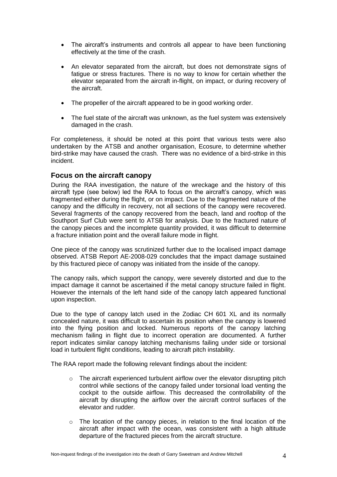- The aircraft's instruments and controls all appear to have been functioning effectively at the time of the crash.
- An elevator separated from the aircraft, but does not demonstrate signs of fatigue or stress fractures. There is no way to know for certain whether the elevator separated from the aircraft in-flight, on impact, or during recovery of the aircraft.
- The propeller of the aircraft appeared to be in good working order.
- The fuel state of the aircraft was unknown, as the fuel system was extensively damaged in the crash.

For completeness, it should be noted at this point that various tests were also undertaken by the ATSB and another organisation, Ecosure, to determine whether bird-strike may have caused the crash. There was no evidence of a bird-strike in this incident.

#### **Focus on the aircraft canopy**

During the RAA investigation, the nature of the wreckage and the history of this aircraft type (see below) led the RAA to focus on the aircraft's canopy, which was fragmented either during the flight, or on impact. Due to the fragmented nature of the canopy and the difficulty in recovery, not all sections of the canopy were recovered. Several fragments of the canopy recovered from the beach, land and rooftop of the Southport Surf Club were sent to ATSB for analysis. Due to the fractured nature of the canopy pieces and the incomplete quantity provided, it was difficult to determine a fracture initiation point and the overall failure mode in flight.

One piece of the canopy was scrutinized further due to the localised impact damage observed. ATSB Report AE-2008-029 concludes that the impact damage sustained by this fractured piece of canopy was initiated from the inside of the canopy.

The canopy rails, which support the canopy, were severely distorted and due to the impact damage it cannot be ascertained if the metal canopy structure failed in flight. However the internals of the left hand side of the canopy latch appeared functional upon inspection.

Due to the type of canopy latch used in the Zodiac CH 601 XL and its normally concealed nature, it was difficult to ascertain its position when the canopy is lowered into the flying position and locked. Numerous reports of the canopy latching mechanism failing in flight due to incorrect operation are documented. A further report indicates similar canopy latching mechanisms failing under side or torsional load in turbulent flight conditions, leading to aircraft pitch instability.

The RAA report made the following relevant findings about the incident:

- $\circ$  The aircraft experienced turbulent airflow over the elevator disrupting pitch control while sections of the canopy failed under torsional load venting the cockpit to the outside airflow. This decreased the controllability of the aircraft by disrupting the airflow over the aircraft control surfaces of the elevator and rudder.
- $\circ$  The location of the canopy pieces, in relation to the final location of the aircraft after impact with the ocean, was consistent with a high altitude departure of the fractured pieces from the aircraft structure.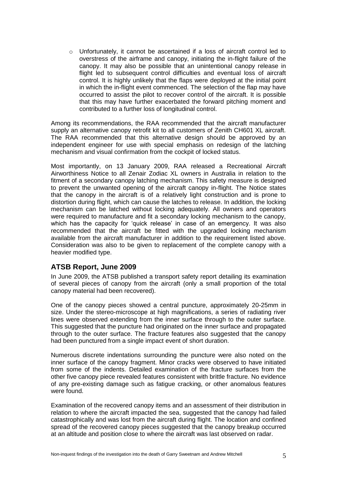$\circ$  Unfortunately, it cannot be ascertained if a loss of aircraft control led to overstress of the airframe and canopy, initiating the in-flight failure of the canopy. It may also be possible that an unintentional canopy release in flight led to subsequent control difficulties and eventual loss of aircraft control. It is highly unlikely that the flaps were deployed at the initial point in which the in-flight event commenced. The selection of the flap may have occurred to assist the pilot to recover control of the aircraft. It is possible that this may have further exacerbated the forward pitching moment and contributed to a further loss of longitudinal control.

Among its recommendations, the RAA recommended that the aircraft manufacturer supply an alternative canopy retrofit kit to all customers of Zenith CH601 XL aircraft. The RAA recommended that this alternative design should be approved by an independent engineer for use with special emphasis on redesign of the latching mechanism and visual confirmation from the cockpit of locked status.

Most importantly, on 13 January 2009, RAA released a Recreational Aircraft Airworthiness Notice to all Zenair Zodiac XL owners in Australia in relation to the fitment of a secondary canopy latching mechanism. This safety measure is designed to prevent the unwanted opening of the aircraft canopy in-flight. The Notice states that the canopy in the aircraft is of a relatively light construction and is prone to distortion during flight, which can cause the latches to release. In addition, the locking mechanism can be latched without locking adequately. All owners and operators were required to manufacture and fit a secondary locking mechanism to the canopy, which has the capacity for 'quick release' in case of an emergency. It was also recommended that the aircraft be fitted with the upgraded locking mechanism available from the aircraft manufacturer in addition to the requirement listed above. Consideration was also to be given to replacement of the complete canopy with a heavier modified type.

#### **ATSB Report, June 2009**

In June 2009, the ATSB published a transport safety report detailing its examination of several pieces of canopy from the aircraft (only a small proportion of the total canopy material had been recovered).

One of the canopy pieces showed a central puncture, approximately 20-25mm in size. Under the stereo-microscope at high magnifications, a series of radiating river lines were observed extending from the inner surface through to the outer surface. This suggested that the puncture had originated on the inner surface and propagated through to the outer surface. The fracture features also suggested that the canopy had been punctured from a single impact event of short duration.

Numerous discrete indentations surrounding the puncture were also noted on the inner surface of the canopy fragment. Minor cracks were observed to have initiated from some of the indents. Detailed examination of the fracture surfaces from the other five canopy piece revealed features consistent with brittle fracture. No evidence of any pre-existing damage such as fatigue cracking, or other anomalous features were found.

Examination of the recovered canopy items and an assessment of their distribution in relation to where the aircraft impacted the sea, suggested that the canopy had failed catastrophically and was lost from the aircraft during flight. The location and confined spread of the recovered canopy pieces suggested that the canopy breakup occurred at an altitude and position close to where the aircraft was last observed on radar.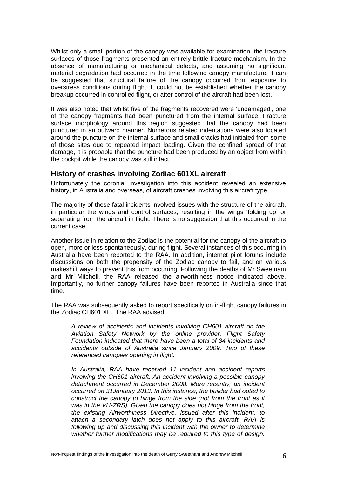Whilst only a small portion of the canopy was available for examination, the fracture surfaces of those fragments presented an entirely brittle fracture mechanism. In the absence of manufacturing or mechanical defects, and assuming no significant material degradation had occurred in the time following canopy manufacture, it can be suggested that structural failure of the canopy occurred from exposure to overstress conditions during flight. It could not be established whether the canopy breakup occurred in controlled flight, or after control of the aircraft had been lost.

It was also noted that whilst five of the fragments recovered were 'undamaged', one of the canopy fragments had been punctured from the internal surface. Fracture surface morphology around this region suggested that the canopy had been punctured in an outward manner. Numerous related indentations were also located around the puncture on the internal surface and small cracks had initiated from some of those sites due to repeated impact loading. Given the confined spread of that damage, it is probable that the puncture had been produced by an object from within the cockpit while the canopy was still intact.

#### **History of crashes involving Zodiac 601XL aircraft**

Unfortunately the coronial investigation into this accident revealed an extensive history, in Australia and overseas, of aircraft crashes involving this aircraft type.

The majority of these fatal incidents involved issues with the structure of the aircraft, in particular the wings and control surfaces, resulting in the wings 'folding up' or separating from the aircraft in flight. There is no suggestion that this occurred in the current case.

Another issue in relation to the Zodiac is the potential for the canopy of the aircraft to open, more or less spontaneously, during flight. Several instances of this occurring in Australia have been reported to the RAA. In addition, internet pilot forums include discussions on both the propensity of the Zodiac canopy to fail, and on various makeshift ways to prevent this from occurring. Following the deaths of Mr Sweetnam and Mr Mitchell, the RAA released the airworthiness notice indicated above. Importantly, no further canopy failures have been reported in Australia since that time.

The RAA was subsequently asked to report specifically on in-flight canopy failures in the Zodiac CH601 XL. The RAA advised:

*A review of accidents and incidents involving CH601 aircraft on the Aviation Safety Network by the online provider, Flight Safety Foundation indicated that there have been a total of 34 incidents and accidents outside of Australia since January 2009. Two of these referenced canopies opening in flight.* 

*In Australia, RAA have received 11 incident and accident reports involving the CH601 aircraft. An accident involving a possible canopy detachment occurred in December 2008. More recently, an incident occurred on 31January 2013. In this instance, the builder had opted to construct the canopy to hinge from the side (not from the front as it was in the VH-ZRS). Given the canopy does not hinge from the front, the existing Airworthiness Directive, issued after this incident, to attach a secondary latch does not apply to this aircraft. RAA is following up and discussing this incident with the owner to determine whether further modifications may be required to this type of design.*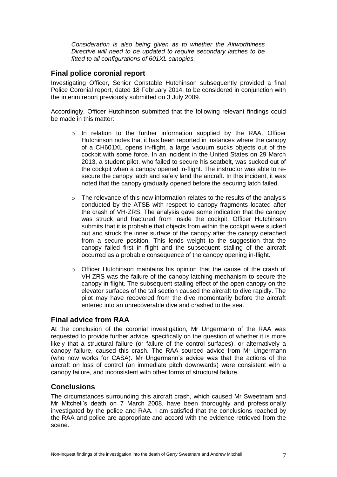*Consideration is also being given as to whether the Airworthiness Directive will need to be updated to require secondary latches to be fitted to all configurations of 601XL canopies.* 

#### **Final police coronial report**

Investigating Officer, Senior Constable Hutchinson subsequently provided a final Police Coronial report, dated 18 February 2014, to be considered in conjunction with the interim report previously submitted on 3 July 2009.

Accordingly, Officer Hutchinson submitted that the following relevant findings could be made in this matter:

- o In relation to the further information supplied by the RAA, Officer Hutchinson notes that it has been reported in instances where the canopy of a CH601XL opens in-flight, a large vacuum sucks objects out of the cockpit with some force. In an incident in the United States on 29 March 2013, a student pilot, who failed to secure his seatbelt, was sucked out of the cockpit when a canopy opened in-flight. The instructor was able to resecure the canopy latch and safely land the aircraft. In this incident, it was noted that the canopy gradually opened before the securing latch failed.
- $\circ$  The relevance of this new information relates to the results of the analysis conducted by the ATSB with respect to canopy fragments located after the crash of VH-ZRS. The analysis gave some indication that the canopy was struck and fractured from inside the cockpit. Officer Hutchinson submits that it is probable that objects from within the cockpit were sucked out and struck the inner surface of the canopy after the canopy detached from a secure position. This lends weight to the suggestion that the canopy failed first in flight and the subsequent stalling of the aircraft occurred as a probable consequence of the canopy opening in-flight.
- o Officer Hutchinson maintains his opinion that the cause of the crash of VH-ZRS was the failure of the canopy latching mechanism to secure the canopy in-flight. The subsequent stalling effect of the open canopy on the elevator surfaces of the tail section caused the aircraft to dive rapidly. The pilot may have recovered from the dive momentarily before the aircraft entered into an unrecoverable dive and crashed to the sea.

#### **Final advice from RAA**

At the conclusion of the coronial investigation, Mr Ungermann of the RAA was requested to provide further advice, specifically on the question of whether it is more likely that a structural failure (or failure of the control surfaces), or alternatively a canopy failure, caused this crash. The RAA sourced advice from Mr Ungermann (who now works for CASA). Mr Ungermann's advice was that the actions of the aircraft on loss of control (an immediate pitch downwards) were consistent with a canopy failure, and inconsistent with other forms of structural failure.

### **Conclusions**

The circumstances surrounding this aircraft crash, which caused Mr Sweetnam and Mr Mitchell's death on 7 March 2008, have been thoroughly and professionally investigated by the police and RAA. I am satisfied that the conclusions reached by the RAA and police are appropriate and accord with the evidence retrieved from the scene.